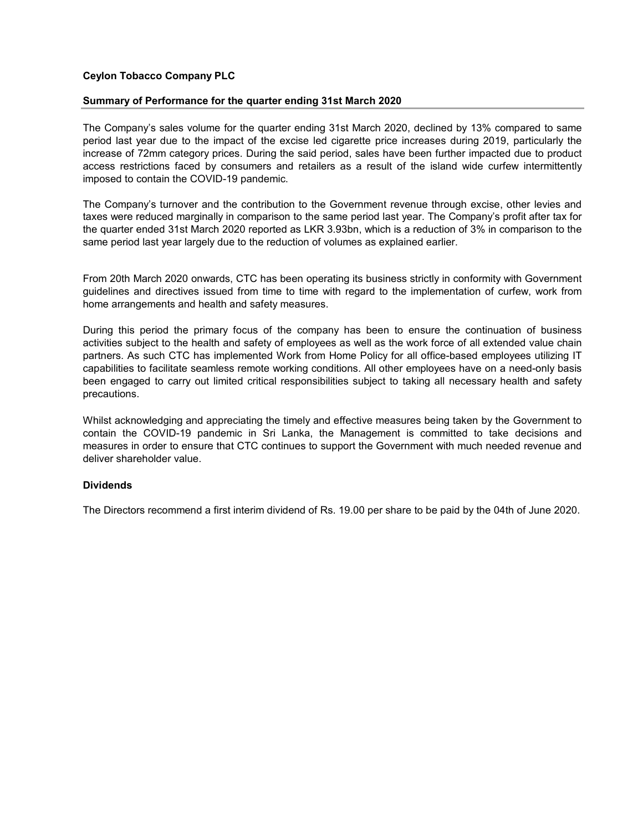## Ceylon Tobacco Company PLC

## Summary of Performance for the quarter ending 31st March 2020

The Company's sales volume for the quarter ending 31st March 2020, declined by 13% compared to same period last year due to the impact of the excise led cigarette price increases during 2019, particularly the increase of 72mm category prices. During the said period, sales have been further impacted due to product access restrictions faced by consumers and retailers as a result of the island wide curfew intermittently imposed to contain the COVID-19 pandemic.

The Company's turnover and the contribution to the Government revenue through excise, other levies and taxes were reduced marginally in comparison to the same period last year. The Company's profit after tax for the quarter ended 31st March 2020 reported as LKR 3.93bn, which is a reduction of 3% in comparison to the same period last year largely due to the reduction of volumes as explained earlier.

From 20th March 2020 onwards, CTC has been operating its business strictly in conformity with Government guidelines and directives issued from time to time with regard to the implementation of curfew, work from home arrangements and health and safety measures.

During this period the primary focus of the company has been to ensure the continuation of business activities subject to the health and safety of employees as well as the work force of all extended value chain partners. As such CTC has implemented Work from Home Policy for all office-based employees utilizing IT capabilities to facilitate seamless remote working conditions. All other employees have on a need-only basis been engaged to carry out limited critical responsibilities subject to taking all necessary health and safety precautions.

Whilst acknowledging and appreciating the timely and effective measures being taken by the Government to contain the COVID-19 pandemic in Sri Lanka, the Management is committed to take decisions and measures in order to ensure that CTC continues to support the Government with much needed revenue and deliver shareholder value.

## **Dividends**

The Directors recommend a first interim dividend of Rs. 19.00 per share to be paid by the 04th of June 2020.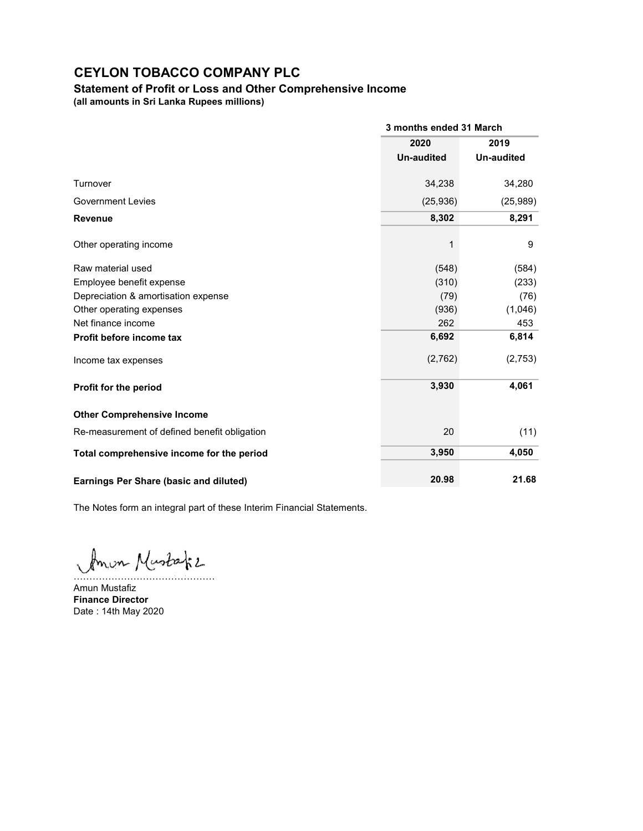## Statement of Profit or Loss and Other Comprehensive Income

(all amounts in Sri Lanka Rupees millions)

|                                               | 3 months ended 31 March |                   |  |
|-----------------------------------------------|-------------------------|-------------------|--|
|                                               | 2020                    | 2019              |  |
|                                               | <b>Un-audited</b>       | <b>Un-audited</b> |  |
| Turnover                                      | 34,238                  | 34,280            |  |
| <b>Government Levies</b>                      | (25, 936)               | (25,989)          |  |
| <b>Revenue</b>                                | 8,302                   | 8,291             |  |
| Other operating income                        | 1                       | 9                 |  |
| Raw material used                             | (548)                   | (584)             |  |
| Employee benefit expense                      | (310)                   | (233)             |  |
| Depreciation & amortisation expense           | (79)                    | (76)              |  |
| Other operating expenses                      | (936)                   | (1,046)           |  |
| Net finance income                            | 262                     | 453               |  |
| Profit before income tax                      | 6,692                   | 6,814             |  |
| Income tax expenses                           | (2,762)                 | (2,753)           |  |
| Profit for the period                         | 3,930                   | 4,061             |  |
| <b>Other Comprehensive Income</b>             |                         |                   |  |
| Re-measurement of defined benefit obligation  | 20                      | (11)              |  |
| Total comprehensive income for the period     | 3,950                   | 4,050             |  |
| <b>Earnings Per Share (basic and diluted)</b> | 20.98                   | 21.68             |  |

The Notes form an integral part of these Interim Financial Statements.

Amon Mustafiz

Amun Mustafiz Finance Director Date : 14th May 2020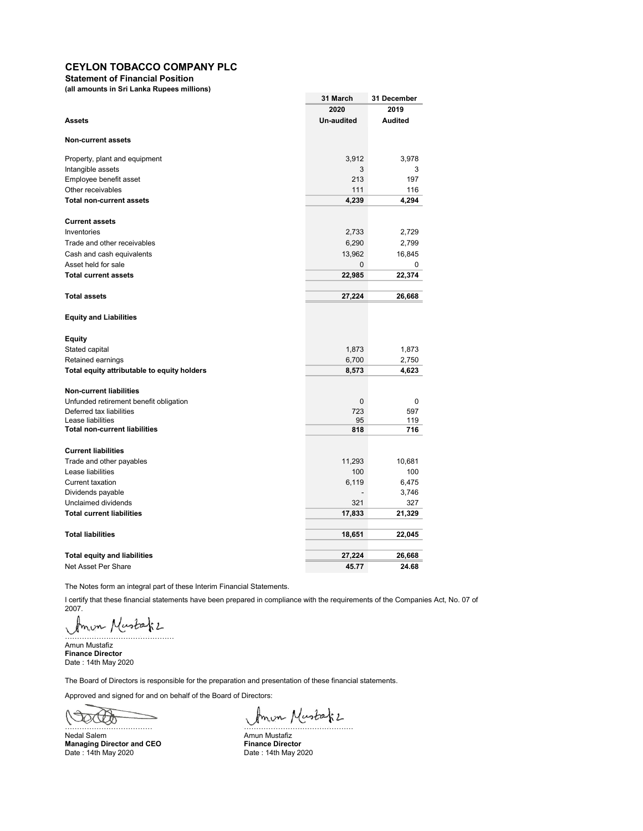Statement of Financial Position

(all amounts in Sri Lanka Rupees millions)

|                                             | 31 March     | 31 December    |
|---------------------------------------------|--------------|----------------|
|                                             | 2020         | 2019           |
| <b>Assets</b>                               | Un-audited   | <b>Audited</b> |
| <b>Non-current assets</b>                   |              |                |
| Property, plant and equipment               | 3,912        | 3.978          |
| Intangible assets                           | 3            | 3              |
| Employee benefit asset                      | 213          | 197            |
| Other receivables                           | 111          | 116            |
| <b>Total non-current assets</b>             | 4,239        | 4,294          |
| <b>Current assets</b>                       |              |                |
| Inventories                                 | 2,733        | 2,729          |
| Trade and other receivables                 | 6,290        | 2,799          |
| Cash and cash equivalents                   | 13,962       | 16,845         |
| Asset held for sale                         | $\mathbf 0$  | 0              |
| <b>Total current assets</b>                 | 22,985       | 22,374         |
|                                             |              |                |
| <b>Total assets</b>                         | 27,224       | 26,668         |
| <b>Equity and Liabilities</b>               |              |                |
| Equity                                      |              |                |
| Stated capital                              | 1,873        | 1,873          |
| Retained earnings                           | 6,700        | 2,750          |
| Total equity attributable to equity holders | 8,573        | 4,623          |
| <b>Non-current liabilities</b>              |              |                |
| Unfunded retirement benefit obligation      | $\mathbf{0}$ | 0              |
| Deferred tax liabilities                    | 723          | 597            |
| Lease liabilities                           | 95           | 119            |
| <b>Total non-current liabilities</b>        | 818          | 716            |
| <b>Current liabilities</b>                  |              |                |
| Trade and other payables                    | 11,293       | 10,681         |
| Lease liabilities                           | 100          | 100            |
| <b>Current taxation</b>                     | 6,119        | 6,475          |
| Dividends payable                           |              | 3,746          |
| Unclaimed dividends                         | 321          | 327            |
| <b>Total current liabilities</b>            | 17,833       | 21,329         |
| <b>Total liabilities</b>                    | 18,651       | 22,045         |
| <b>Total equity and liabilities</b>         | 27,224       | 26,668         |
| Net Asset Per Share                         | 45.77        | 24.68          |
|                                             |              |                |

The Notes form an integral part of these Interim Financial Statements.

I certify that these financial statements have been prepared in compliance with the requirements of the Companies Act, No. 07 of 2007.

mon Mustafiz ………………………………………

Amun Mustafiz Finance Director Date : 14th May 2020

The Board of Directors is responsible for the preparation and presentation of these financial statements.

Approved and signed for and on behalf of the Board of Directors:

OCTO ……………………………… ………………………………………

Nedal Salem **Amun Mustafiz Amun Mustafiz** Managing Director and CEO Finance Director Date : 14th May 2020 Date : 14th May 2020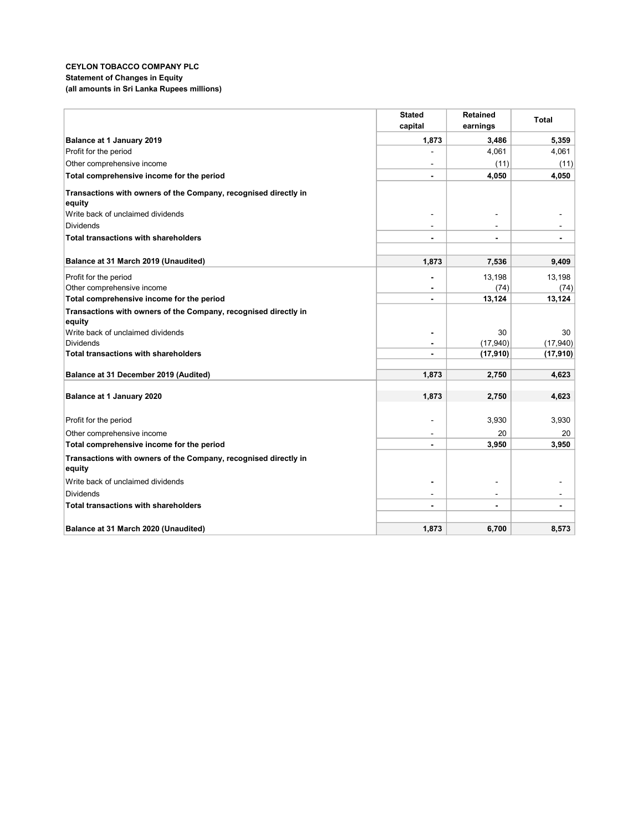### CEYLON TOBACCO COMPANY PLC Statement of Changes in Equity (all amounts in Sri Lanka Rupees millions)

|                                                                 | <b>Stated</b>            | <b>Retained</b> | <b>Total</b>   |
|-----------------------------------------------------------------|--------------------------|-----------------|----------------|
|                                                                 | capital                  | earnings        |                |
| Balance at 1 January 2019                                       | 1,873                    | 3,486           | 5,359          |
| Profit for the period                                           |                          | 4,061           | 4,061          |
| Other comprehensive income                                      |                          | (11)            | (11)           |
| Total comprehensive income for the period                       |                          | 4,050           | 4,050          |
| Transactions with owners of the Company, recognised directly in |                          |                 |                |
| equity                                                          |                          |                 |                |
| Write back of unclaimed dividends                               |                          |                 |                |
| Dividends                                                       | $\blacksquare$           |                 |                |
| Total transactions with shareholders                            |                          |                 | $\blacksquare$ |
|                                                                 |                          |                 |                |
| Balance at 31 March 2019 (Unaudited)                            | 1.873                    | 7,536           | 9,409          |
| Profit for the period                                           |                          | 13,198          | 13,198         |
| Other comprehensive income                                      |                          | (74)            | (74)           |
| Total comprehensive income for the period                       |                          | 13,124          | 13,124         |
| Transactions with owners of the Company, recognised directly in |                          |                 |                |
| equity                                                          |                          |                 |                |
| Write back of unclaimed dividends                               |                          | 30              | 30             |
| <b>Dividends</b>                                                |                          | (17,940)        | (17, 940)      |
| <b>Total transactions with shareholders</b>                     |                          | (17, 910)       | (17, 910)      |
| Balance at 31 December 2019 (Audited)                           | 1,873                    | 2,750           | 4,623          |
|                                                                 |                          |                 |                |
| Balance at 1 January 2020                                       | 1,873                    | 2,750           | 4,623          |
|                                                                 |                          |                 |                |
| Profit for the period                                           |                          | 3,930           | 3,930          |
| Other comprehensive income                                      |                          | 20              | 20             |
| Total comprehensive income for the period                       | $\blacksquare$           | 3,950           | 3,950          |
| Transactions with owners of the Company, recognised directly in |                          |                 |                |
| equity                                                          |                          |                 |                |
| Write back of unclaimed dividends                               | $\blacksquare$           |                 |                |
| <b>Dividends</b>                                                | $\overline{\phantom{a}}$ | ۰               |                |
| <b>Total transactions with shareholders</b>                     |                          |                 | $\blacksquare$ |
|                                                                 |                          |                 |                |
| Balance at 31 March 2020 (Unaudited)                            | 1,873                    | 6,700           | 8,573          |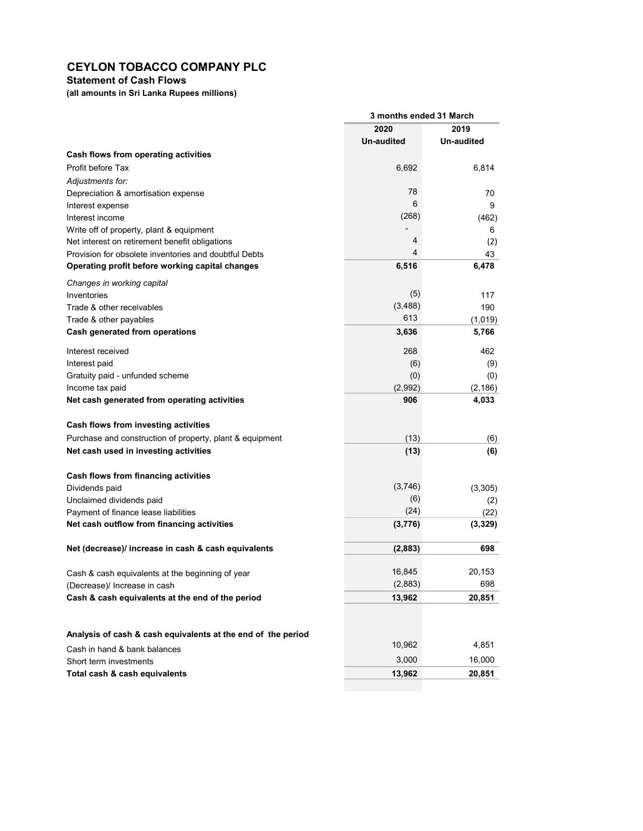## Statement of Cash Flows

(all amounts in Sri Lanka Rupees millions)

|                                                                                                          | 3 months ended 31 March |             |  |
|----------------------------------------------------------------------------------------------------------|-------------------------|-------------|--|
|                                                                                                          | 2020                    | 2019        |  |
|                                                                                                          | Un-audited              | Un-audited  |  |
| Cash flows from operating activities                                                                     |                         |             |  |
| Profit before Tax                                                                                        | 6,692                   | 6,814       |  |
| Adjustments for:                                                                                         |                         |             |  |
| Depreciation & amortisation expense                                                                      | 78                      | 70          |  |
| Interest expense                                                                                         | 6                       | 9           |  |
| Interest income                                                                                          | (268)                   | (462)       |  |
| Write off of property, plant & equipment                                                                 | 4                       | 6           |  |
| Net interest on retirement benefit obligations                                                           | 4                       | (2)         |  |
| Provision for obsolete inventories and doubtful Debts<br>Operating profit before working capital changes | 6,516                   | 43<br>6,478 |  |
|                                                                                                          |                         |             |  |
| Changes in working capital                                                                               |                         |             |  |
| Inventories                                                                                              | (5)                     | 117         |  |
| Trade & other receivables                                                                                | (3, 488)<br>613         | 190         |  |
| Trade & other payables                                                                                   |                         | (1,019)     |  |
| Cash generated from operations                                                                           | 3,636                   | 5,766       |  |
| Interest received                                                                                        | 268                     | 462         |  |
| Interest paid                                                                                            | (6)                     | (9)         |  |
| Gratuity paid - unfunded scheme                                                                          | (0)                     | (0)         |  |
| Income tax paid                                                                                          | (2,992)                 | (2, 186)    |  |
| Net cash generated from operating activities                                                             | 906                     | 4,033       |  |
| Cash flows from investing activities                                                                     |                         |             |  |
| Purchase and construction of property, plant & equipment                                                 | (13)                    | (6)         |  |
| Net cash used in investing activities                                                                    | (13)                    | (6)         |  |
|                                                                                                          |                         |             |  |
| Cash flows from financing activities                                                                     |                         |             |  |
| Dividends paid                                                                                           | (3,746)                 | (3, 305)    |  |
| Unclaimed dividends paid                                                                                 | (6)                     | (2)         |  |
| Payment of finance lease liabilities                                                                     | (24)                    | (22)        |  |
| Net cash outflow from financing activities                                                               | (3,776)                 | (3, 329)    |  |
| Net (decrease)/ increase in cash & cash equivalents                                                      | (2,883)                 | 698         |  |
|                                                                                                          |                         |             |  |
| Cash & cash equivalents at the beginning of year                                                         | 16,845                  | 20,153      |  |
| (Decrease)/ Increase in cash                                                                             | (2,883)                 | 698         |  |
| Cash & cash equivalents at the end of the period                                                         | 13,962                  | 20,851      |  |
|                                                                                                          |                         |             |  |
| Analysis of cash & cash equivalents at the end of the period                                             |                         |             |  |
|                                                                                                          | 10,962                  | 4,851       |  |
| Cash in hand & bank balances<br>Short term investments                                                   | 3,000                   | 16,000      |  |
| Total cash & cash equivalents                                                                            | 13,962                  | 20,851      |  |
|                                                                                                          |                         |             |  |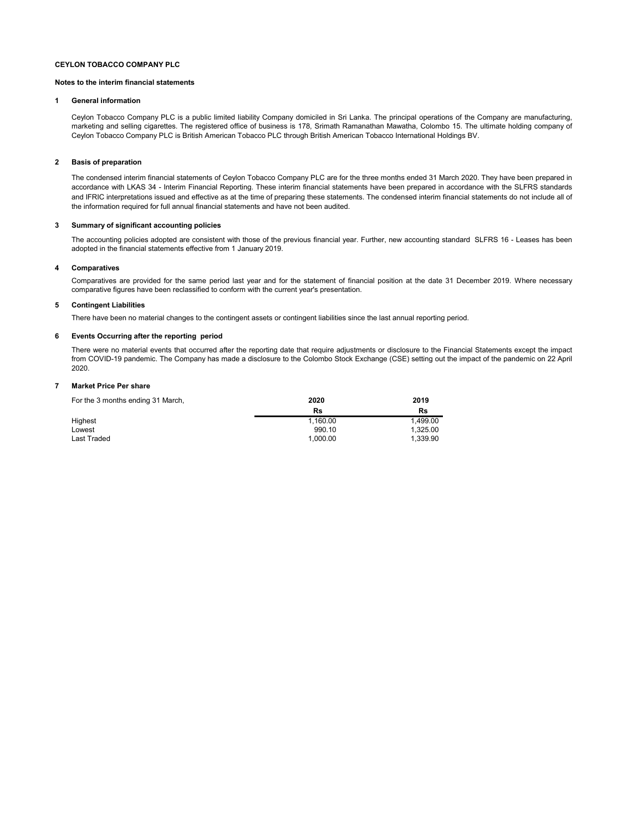#### Notes to the interim financial statements

#### 1 General information

Ceylon Tobacco Company PLC is a public limited liability Company domiciled in Sri Lanka. The principal operations of the Company are manufacturing, marketing and selling cigarettes. The registered office of business is 178, Srimath Ramanathan Mawatha, Colombo 15. The ultimate holding company of Ceylon Tobacco Company PLC is British American Tobacco PLC through British American Tobacco International Holdings BV.

#### 2 Basis of preparation

The condensed interim financial statements of Ceylon Tobacco Company PLC are for the three months ended 31 March 2020. They have been prepared in accordance with LKAS 34 - Interim Financial Reporting. These interim financial statements have been prepared in accordance with the SLFRS standards and IFRIC interpretations issued and effective as at the time of preparing these statements. The condensed interim financial statements do not include all of the information required for full annual financial statements and have not been audited.

#### 3 Summary of significant accounting policies

The accounting policies adopted are consistent with those of the previous financial year. Further, new accounting standard SLFRS 16 - Leases has been adopted in the financial statements effective from 1 January 2019.

#### 4 Comparatives

Comparatives are provided for the same period last year and for the statement of financial position at the date 31 December 2019. Where necessary comparative figures have been reclassified to conform with the current year's presentation.

#### 5 Contingent Liabilities

There have been no material changes to the contingent assets or contingent liabilities since the last annual reporting period.

#### 6 Events Occurring after the reporting period

There were no material events that occurred after the reporting date that require adjustments or disclosure to the Financial Statements except the impact from COVID-19 pandemic. The Company has made a disclosure to the Colombo Stock Exchange (CSE) setting out the impact of the pandemic on 22 April 2020.

#### 7 Market Price Per share

| For the 3 months ending 31 March, | 2020     | 2019     |
|-----------------------------------|----------|----------|
|                                   | Rs       | Rs       |
| Highest                           | 1.160.00 | 1.499.00 |
| Lowest                            | 990.10   | 1.325.00 |
| Last Traded                       | 1.000.00 | 1.339.90 |